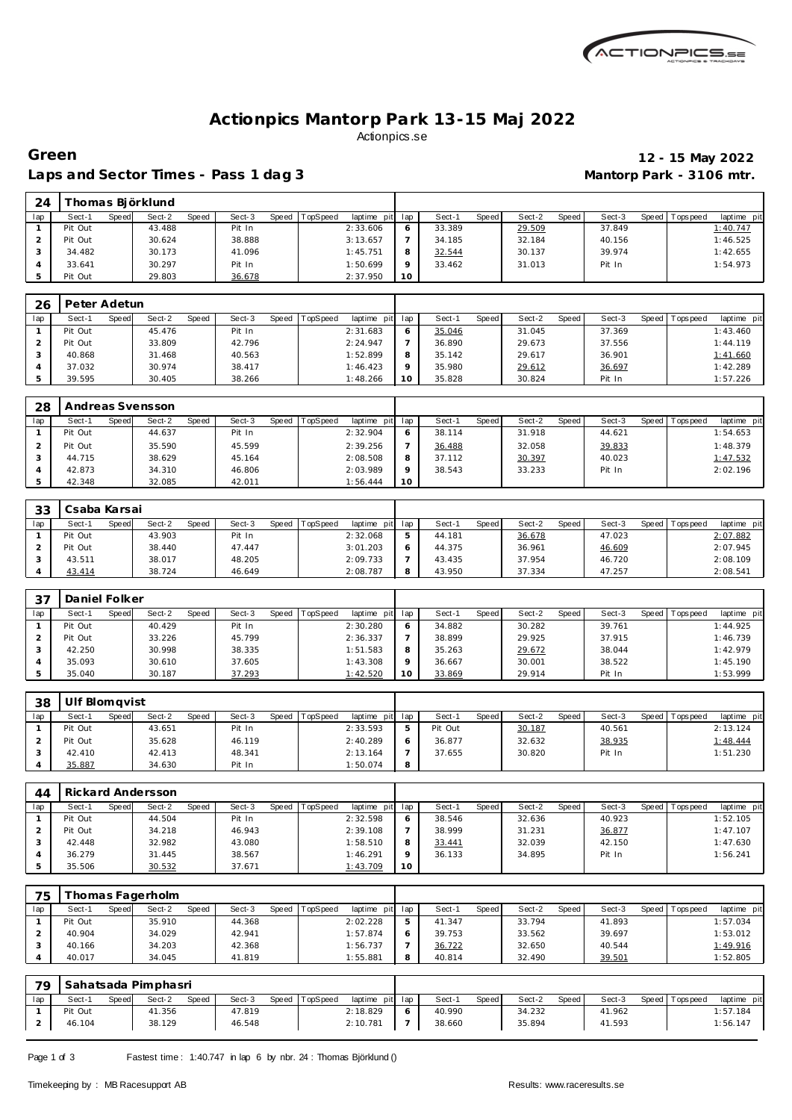

## **Actionpics Mantorp Park 13-15 Maj 2022** Actionpics.se

 **Thomas Björklund**

Laps and Sector Times - Pass 1 dag 3 **Mantorp Park - 3106 mtr.** 

# **Green 12 - 15 May 2022**

| lap            | Sect-1       | Speed | Sect-2           | Speed | Sect-3 | Speed | TopSpeed | laptime pit | lap            | Sect-1 | Speed | Sect-2 | Speed | Sect-3 | Speed | Tops peed | laptime pit |
|----------------|--------------|-------|------------------|-------|--------|-------|----------|-------------|----------------|--------|-------|--------|-------|--------|-------|-----------|-------------|
| $\overline{1}$ | Pit Out      |       | 43.488           |       | Pit In |       |          | 2:33.606    | 6              | 33.389 |       | 29.509 |       | 37.849 |       |           | 1:40.747    |
| 2              | Pit Out      |       | 30.624           |       | 38.888 |       |          | 3:13.657    | $\overline{7}$ | 34.185 |       | 32.184 |       | 40.156 |       |           | 1:46.525    |
| 3              | 34.482       |       | 30.173           |       | 41.096 |       |          | 1:45.751    | 8              | 32.544 |       | 30.137 |       | 39.974 |       |           | 1:42.655    |
| $\overline{4}$ | 33.641       |       | 30.297           |       | Pit In |       |          | 1:50.699    | 9              | 33.462 |       | 31.013 |       | Pit In |       |           | 1:54.973    |
| 5              | Pit Out      |       | 29.803           |       | 36.678 |       |          | 2:37.950    | 10             |        |       |        |       |        |       |           |             |
|                |              |       |                  |       |        |       |          |             |                |        |       |        |       |        |       |           |             |
| 26             | Peter Adetun |       |                  |       |        |       |          |             |                |        |       |        |       |        |       |           |             |
| lap            | Sect-1       | Speed | Sect-2           | Speed | Sect-3 | Speed | TopSpeed | laptime pit | lap            | Sect-1 | Speed | Sect-2 | Speed | Sect-3 | Speed | Tops peed | laptime pit |
|                | Pit Out      |       | 45.476           |       | Pit In |       |          | 2:31.683    | 6              | 35.046 |       | 31.045 |       | 37.369 |       |           | 1:43.460    |
| 2              | Pit Out      |       | 33.809           |       | 42.796 |       |          | 2:24.947    | $\overline{7}$ | 36.890 |       | 29.673 |       | 37.556 |       |           | 1:44.119    |
| 3              | 40.868       |       | 31.468           |       | 40.563 |       |          | 1:52.899    | 8              | 35.142 |       | 29.617 |       | 36.901 |       |           | 1:41.660    |
| 4              | 37.032       |       | 30.974           |       | 38.417 |       |          | 1:46.423    | 9              | 35.980 |       | 29.612 |       | 36.697 |       |           | 1:42.289    |
| 5              | 39.595       |       | 30.405           |       | 38.266 |       |          | 1:48.266    | 10             | 35.828 |       | 30.824 |       | Pit In |       |           | 1:57.226    |
|                |              |       |                  |       |        |       |          |             |                |        |       |        |       |        |       |           |             |
| 28             |              |       | Andreas Svensson |       |        |       |          |             |                |        |       |        |       |        |       |           |             |
| lap            | Sect-1       | Speed | Sect-2           | Speed | Sect-3 | Speed | TopSpeed | laptime pit | lap            | Sect-1 | Speed | Sect-2 | Speed | Sect-3 | Speed | Tops peed | laptime pit |
|                | Pit Out      |       | 44.637           |       | Pit In |       |          | 2:32.904    | 6              | 38.114 |       | 31.918 |       | 44.621 |       |           | 1:54.653    |
| 2              | Pit Out      |       | 35.590           |       | 45.599 |       |          | 2:39.256    | $\overline{7}$ | 36.488 |       | 32.058 |       | 39.833 |       |           | 1:48.379    |
| 3              | 44.715       |       | 38.629           |       | 45.164 |       |          | 2:08.508    | 8              | 37.112 |       | 30.397 |       | 40.023 |       |           | 1:47.532    |
| 4              | 42.873       |       | 34.310           |       | 46.806 |       |          | 2:03.989    | 9              | 38.543 |       | 33.233 |       | Pit In |       |           | 2:02.196    |
| 5              | 42.348       |       | 32.085           |       | 42.011 |       |          | 1:56.444    | 10             |        |       |        |       |        |       |           |             |

| 33  | Csaba Karsai |       |        |       |        |       |                 |             |      |        |              |        |         |        |       |           |             |
|-----|--------------|-------|--------|-------|--------|-------|-----------------|-------------|------|--------|--------------|--------|---------|--------|-------|-----------|-------------|
| lap | Sect-1       | Speed | Sect-2 | Speed | Sect-3 | Speed | <b>TopSpeed</b> | laptime pit | -lap | Sect-1 | <b>Speed</b> | Sect-2 | Speed i | Sect-3 | Speed | Tops peed | laptime pit |
|     | Pit Out      |       | 43.903 |       | Pit In |       |                 | 2:32.068    | 5    | 44.181 |              | 36.678 |         | 47.023 |       |           | 2:07.882    |
|     | Pit Out      |       | 38.440 |       | 47.447 |       |                 | 3:01.203    |      | 44.375 |              | 36.961 |         | 46.609 |       |           | 2:07.945    |
|     | 43.511       |       | 38.017 |       | 48.205 |       |                 | 2:09.733    |      | 43.435 |              | 37.954 |         | 46.720 |       |           | 2:08.109    |
|     | 43.414       |       | 38.724 |       | 46.649 |       |                 | 2:08.787    |      | 43.950 |              | 37.334 |         | 47.257 |       |           | 2:08.541    |

| -37 | Daniel Folker |       |        |       |        |       |                 |                 |          |        |       |        |       |        |                   |             |
|-----|---------------|-------|--------|-------|--------|-------|-----------------|-----------------|----------|--------|-------|--------|-------|--------|-------------------|-------------|
| lap | Sect-1        | Speed | Sect-2 | Speed | Sect-3 | Speed | <b>TopSpeed</b> | laptime pit lap |          | Sect-1 | Speed | Sect-2 | Speed | Sect-3 | Speed   Tops peed | laptime pit |
|     | Pit Out       |       | 40.429 |       | Pit In |       |                 | 2:30.280        |          | 34.882 |       | 30.282 |       | 39.761 |                   | 1:44.925    |
|     | Pit Out       |       | 33.226 |       | 45.799 |       |                 | 2:36.337        |          | 38.899 |       | 29.925 |       | 37.915 |                   | 1:46.739    |
|     | 42.250        |       | 30.998 |       | 38.335 |       |                 | 1:51.583        |          | 35.263 |       | 29.672 |       | 38.044 |                   | 1:42.979    |
|     | 35.093        |       | 30.610 |       | 37.605 |       |                 | 1:43.308        | $\Omega$ | 36.667 |       | 30.001 |       | 38.522 |                   | 1:45.190    |
|     | 35.040        |       | 30.187 |       | 37.293 |       |                 | 1:42.520        | 10       | 33.869 |       | 29.914 |       | Pit In |                   | 1:53.999    |

| 38  | Ulf Blomavist |        |        |       |        |       |          |                 |   |         |       |        |       |        |         |            |             |
|-----|---------------|--------|--------|-------|--------|-------|----------|-----------------|---|---------|-------|--------|-------|--------|---------|------------|-------------|
| lap | Sect-1        | Speedl | Sect-2 | Speed | Sect-3 | Speed | TopSpeed | laptime pit lap |   | Sect-1  | Speed | Sect-2 | Speed | Sect-3 | Speed I | T ops peed | laptime pit |
|     | Pit Out       |        | 43.651 |       | Pit In |       |          | 2:33.593        | ь | Pit Out |       | 30.187 |       | 40.561 |         |            | 2:13.124    |
|     | Pit Out       |        | 35.628 |       | 46.119 |       |          | 2:40.289        |   | 36.877  |       | 32.632 |       | 38.935 |         |            | 1:48.444    |
|     | 42.410        |        | 42.413 |       | 48.341 |       |          | 2:13.164        |   | 37.655  |       | 30.820 |       | Pit In |         |            | 1:51.230    |
|     | 35.887        |        | 34.630 |       | Pit In |       |          | 1:50.074        | 8 |         |       |        |       |        |         |            |             |

| 44  |         |       | Rickard Andersson |       |        |       |          |                 |    |        |       |        |       |        |         |             |             |
|-----|---------|-------|-------------------|-------|--------|-------|----------|-----------------|----|--------|-------|--------|-------|--------|---------|-------------|-------------|
| lap | Sect-1  | Speed | Sect-2            | Speed | Sect-3 | Speed | TopSpeed | laptime pit lap |    | Sect-1 | Speed | Sect-2 | Speed | Sect-3 | Speed I | T ops pee d | laptime pit |
|     | Pit Out |       | 44.504            |       | Pit In |       |          | 2:32.598        |    | 38.546 |       | 32.636 |       | 40.923 |         |             | 1:52.105    |
|     | Pit Out |       | 34.218            |       | 46.943 |       |          | 2:39.108        |    | 38.999 |       | 31.231 |       | 36.877 |         |             | 1:47.107    |
|     | 42.448  |       | 32.982            |       | 43.080 |       |          | 1:58.510        |    | 33.441 |       | 32.039 |       | 42.150 |         |             | 1:47.630    |
|     | 36.279  |       | 31.445            |       | 38.567 |       |          | 1:46.291        |    | 36.133 |       | 34.895 |       | Pit In |         |             | 1:56.241    |
|     | 35.506  |       | 30.532            |       | 37.671 |       |          | 1:43.709        | 10 |        |       |        |       |        |         |             |             |

| 75  |         |       | homas Fagerholm |       |        |                |                 |              |        |       |        |       |        |       |           |             |
|-----|---------|-------|-----------------|-------|--------|----------------|-----------------|--------------|--------|-------|--------|-------|--------|-------|-----------|-------------|
| lap | Sect-1  | Speed | Sect-2          | Speed | Sect-3 | Speed TopSpeed | laptime pit lap |              | Sect-' | Speed | Sect-2 | Speed | Sect-3 | Speed | Tops peed | laptime pit |
|     | Pit Out |       | 35.910          |       | 44.368 |                | 2:02.228        | 5            | 41.347 |       | 33.794 |       | 41.893 |       |           | 1:57.034    |
|     | 40.904  |       | 34.029          |       | 42.941 |                | 1:57.874        | <sub>6</sub> | 39.753 |       | 33.562 |       | 39.697 |       |           | 1:53.012    |
|     | 40.166  |       | 34.203          |       | 42.368 |                | : 56.737        |              | 36.722 |       | 32.650 |       | 40.544 |       |           | 1:49.916    |
|     | 40.017  |       | 34.045          |       | 41.819 |                | 1:55.881        | 8            | 40.814 |       | 32.490 |       | 39.501 |       |           | 1:52.805    |

| 79  |         |       | Sahatsada Pimphasri |       |        |                |                 |        |       |        |       |        |                   |             |
|-----|---------|-------|---------------------|-------|--------|----------------|-----------------|--------|-------|--------|-------|--------|-------------------|-------------|
| lap | Sect-1  | Speed | Sect-2              | Speed | Sect-3 | Speed TopSpeed | laptime pit lap | Sect-1 | Speed | Sect-2 | Speed | Sect-3 | Speed   Tops peed | laptime pit |
|     | Pit Out |       | 41.356              |       | 47.819 |                | 2:18.829        | 40.990 |       | 34.232 |       | 41.962 |                   | 1:57.184    |
|     | 46.104  |       | 38.129              |       | 46.548 |                | 2:10.781        | 38.660 |       | 35.894 |       | 41.593 |                   | 1:56.147    |

Page 1 of 3 Fastest time: 1:40.747 in lap 6 by nbr. 24 : Thomas Björklund ()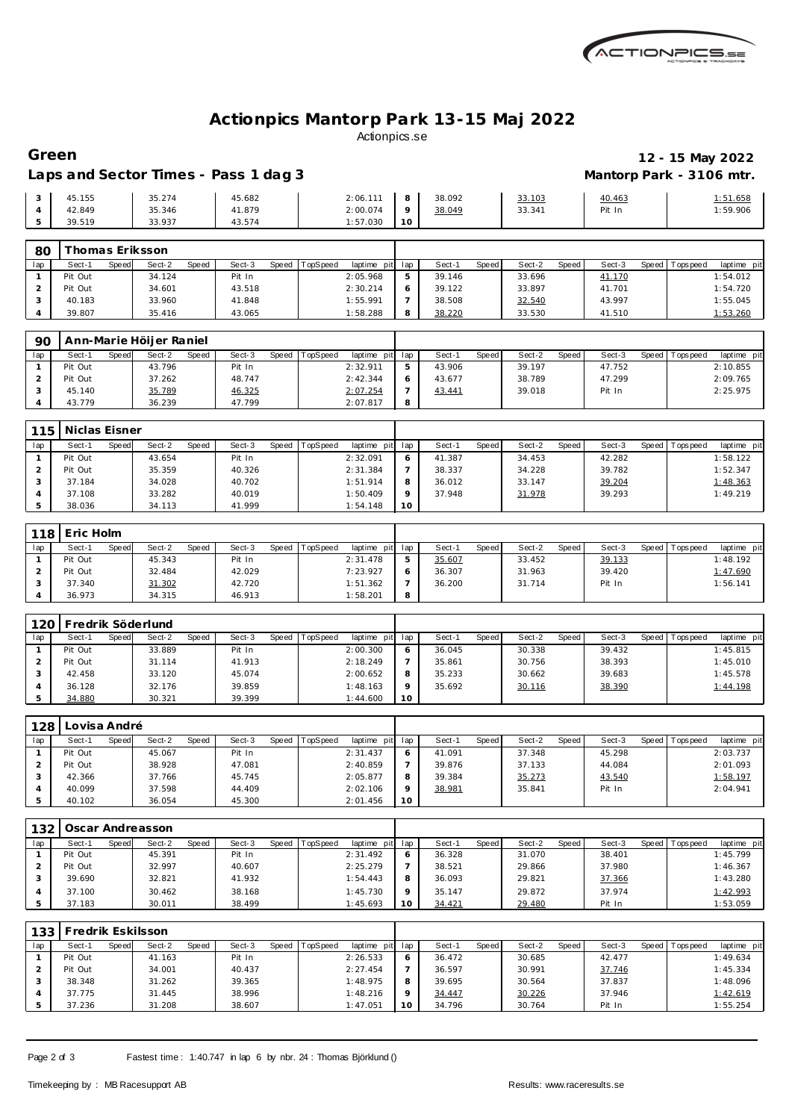

## **Actionpics Mantorp Park 13-15 Maj 2022** Actionpics.se

### **Green 12 - 15 May 2022** Laps and Sector Times - Pass 1 dag 3 **Mantorp Park - 3106 mtr.**

|        |        | $\cdot$ |          |                 |        |        |        |          |
|--------|--------|---------|----------|-----------------|--------|--------|--------|----------|
| 45.155 | 35.274 | 45.682  | 2:06.111 |                 | 38.092 | 33.103 | 40.463 | : 51.658 |
| 42.849 | 35.346 | 41.879  | 2:00.074 | $\Omega$        | 38.049 | 33.341 | Pit In | 1:59.906 |
| 39.519 | 33.937 | 43.574  | 1:57.030 | 10 <sup>°</sup> |        |        |        |          |

| 80  |         |              | Thomas Eriksson. |       |        |              |          |          |         |        |       |        |       |        |                 |             |
|-----|---------|--------------|------------------|-------|--------|--------------|----------|----------|---------|--------|-------|--------|-------|--------|-----------------|-------------|
| lap | Sect-1  | <b>Speed</b> | Sect-2           | Speed | Sect-3 | <b>Speed</b> | TopSpeed | laptime  | pit lap | Sect-1 | Speed | Sect-2 | Speed | Sect-3 | Speed Tops peed | laptime pit |
|     | Pit Out |              | 34.124           |       | Pit In |              |          | 2:05.968 |         | 39.146 |       | 33.696 |       | 41.170 |                 | 1:54.012    |
|     | Pit Out |              | 34.601           |       | 43.518 |              |          | 2:30.214 |         | 39.122 |       | 33.897 |       | 41.701 |                 | 1:54.720    |
|     | 40.183  |              | 33.960           |       | 41.848 |              |          | 1:55.991 |         | 38.508 |       | 32.540 |       | 43.997 |                 | 1:55.045    |
|     | 39.807  |              | 35.416           |       | 43.065 |              |          | 1:58.288 | 8       | 38.220 |       | 33.530 |       | 41.510 |                 | 1:53.260    |

| 90  |         |       | Ann-Marie Höljer Raniel |       |        |       |          |                 |   |        |              |        |       |        |                   |             |
|-----|---------|-------|-------------------------|-------|--------|-------|----------|-----------------|---|--------|--------------|--------|-------|--------|-------------------|-------------|
| lap | Sect-1  | Speed | Sect-2                  | Speed | Sect-3 | Speed | TopSpeed | laptime pit lap |   | Sect-1 | <b>Speed</b> | Sect-2 | Speed | Sect-3 | Speed   Tops peed | laptime pit |
|     | Pit Out |       | 43.796                  |       | Pit In |       |          | 2:32.911        |   | 43.906 |              | 39.197 |       | 47.752 |                   | 2:10.855    |
|     | Pit Out |       | 37.262                  |       | 48.747 |       |          | 2:42.344        |   | 43.677 |              | 38.789 |       | 47.299 |                   | 2:09.765    |
|     | 45.140  |       | 35.789                  |       | 46.325 |       |          | 2:07.254        |   | 43.441 |              | 39.018 |       | Pit In |                   | 2:25.975    |
|     | 43.779  |       | 36.239                  |       | 47.799 |       |          | 2:07.817        | 8 |        |              |        |       |        |                   |             |

| 115 | Niclas Eisner |                 |                        |       |          |                 |          |        |       |        |       |        |                 |             |
|-----|---------------|-----------------|------------------------|-------|----------|-----------------|----------|--------|-------|--------|-------|--------|-----------------|-------------|
| lap | Sect-1        | Speed<br>Sect-2 | <b>Speed</b><br>Sect-3 | Speed | TopSpeed | laptime pit lap |          | Sect-1 | Speed | Sect-2 | Speed | Sect-3 | Speed Tops peed | laptime pit |
|     | Pit Out       | 43.654          | Pit In                 |       |          | 2:32.091        | $\circ$  | 41.387 |       | 34.453 |       | 42.282 |                 | 1:58.122    |
|     | Pit Out       | 35.359          | 40.326                 |       |          | 2:31.384        |          | 38.337 |       | 34.228 |       | 39.782 |                 | 1:52.347    |
|     | 37.184        | 34.028          | 40.702                 |       |          | 1:51.914        | 8        | 36.012 |       | 33.147 |       | 39.204 |                 | 1:48.363    |
|     | 37.108        | 33.282          | 40.019                 |       |          | 1:50.409        | $\Omega$ | 37.948 |       | 31.978 |       | 39.293 |                 | 1:49.219    |
|     | 38.036        | 34.113          | 41.999                 |       |          | 1:54.148        | 10       |        |       |        |       |        |                 |             |

|     | 118 Eric Holm |       |        |       |        |       |          |                 |   |        |       |        |         |        |                 |             |
|-----|---------------|-------|--------|-------|--------|-------|----------|-----------------|---|--------|-------|--------|---------|--------|-----------------|-------------|
| lap | Sect-1        | Speed | Sect-2 | Speed | Sect-3 | Speed | TopSpeed | laptime pit lap |   | Sect-1 | Speed | Sect-2 | Speed I | Sect-3 | Speed Tops peed | laptime pit |
|     | Pit Out       |       | 45.343 |       | Pit In |       |          | 2:31.478        | ь | 35.607 |       | 33.452 |         | 39.133 |                 | 1:48.192    |
|     | Pit Out       |       | 32.484 |       | 42.029 |       |          | 7:23.927        |   | 36.307 |       | 31.963 |         | 39.420 |                 | 1:47.690    |
|     | 37.340        |       | 31.302 |       | 42.720 |       |          | 1:51.362        |   | 36.200 |       | 31.714 |         | Pit In |                 | 1:56.141    |
|     | 36.973        |       | 34.315 |       | 46.913 |       |          | 1:58.201        | 8 |        |       |        |         |        |                 |             |

| 120 | Fredrik Söderlund |       |        |       |        |       |                 |                 |    |        |       |        |       |        |         |           |             |
|-----|-------------------|-------|--------|-------|--------|-------|-----------------|-----------------|----|--------|-------|--------|-------|--------|---------|-----------|-------------|
| lap | Sect-1            | Speed | Sect-2 | Speed | Sect-3 | Speed | <b>TopSpeed</b> | laptime pit lap |    | Sect-1 | Speed | Sect-2 | Speed | Sect-3 | Speed I | Tops peed | laptime pit |
|     | Pit Out           |       | 33.889 |       | Pit In |       |                 | 2:00.300        |    | 36.045 |       | 30.338 |       | 39.432 |         |           | 1:45.815    |
|     | Pit Out           |       | 31.114 |       | 41.913 |       |                 | 2:18.249        |    | 35.861 |       | 30.756 |       | 38.393 |         |           | 1:45.010    |
|     | 42.458            |       | 33.120 |       | 45.074 |       |                 | 2:00.652        |    | 35.233 |       | 30.662 |       | 39.683 |         |           | 1:45.578    |
|     | 36.128            |       | 32.176 |       | 39.859 |       |                 | 1:48.163        |    | 35.692 |       | 30.116 |       | 38.390 |         |           | 1:44.198    |
|     | 34.880            |       | 30.321 |       | 39.399 |       |                 | 1:44.600        | 10 |        |       |        |       |        |         |           |             |

| 128 | Lovisa André |       |        |       |        |       |          |                 |                 |        |       |        |       |        |                 |             |
|-----|--------------|-------|--------|-------|--------|-------|----------|-----------------|-----------------|--------|-------|--------|-------|--------|-----------------|-------------|
| lap | Sect-1       | Speed | Sect-2 | Speed | Sect-3 | Speed | TopSpeed | laptime pit lap |                 | Sect-1 | Speed | Sect-2 | Speed | Sect-3 | Speed Tops peed | laptime pit |
|     | Pit Out      |       | 45.067 |       | Pit In |       |          | 2:31.437        |                 | 41.091 |       | 37.348 |       | 45.298 |                 | 2:03.737    |
|     | Pit Out      |       | 38.928 |       | 47.081 |       |          | 2:40.859        |                 | 39.876 |       | 37.133 |       | 44.084 |                 | 2:01.093    |
|     | 42.366       |       | 37.766 |       | 45.745 |       |          | 2:05.877        | 8               | 39.384 |       | 35.273 |       | 43.540 |                 | 1:58.197    |
|     | 40.099       |       | 37.598 |       | 44.409 |       |          | 2:02.106        |                 | 38.981 |       | 35.841 |       | Pit In |                 | 2:04.941    |
|     | 40.102       |       | 36.054 |       | 45.300 |       |          | 2:01.456        | 10 <sup>°</sup> |        |       |        |       |        |                 |             |

| 132 |         |       | Oscar Andreasson |       |        |       |          |                 |        |       |        |       |        |         |            |             |
|-----|---------|-------|------------------|-------|--------|-------|----------|-----------------|--------|-------|--------|-------|--------|---------|------------|-------------|
| lap | Sect-1  | Speed | Sect-2           | Speed | Sect-3 | Speed | TopSpeed | laptime pit lap | Sect-1 | Speed | Sect-2 | Speed | Sect-3 | Speed I | Tops pee d | laptime pit |
|     | Pit Out |       | 45.391           |       | Pit In |       |          | 2:31.492        | 36.328 |       | 31.070 |       | 38.401 |         |            | 1:45.799    |
|     | Pit Out |       | 32.997           |       | 40.607 |       |          | 2:25.279        | 38.521 |       | 29.866 |       | 37.980 |         |            | 1:46.367    |
|     | 39.690  |       | 32.821           |       | 41.932 |       |          | 1:54.443        | 36.093 |       | 29.821 |       | 37.366 |         |            | 1:43.280    |
|     | 37.100  |       | 30.462           |       | 38.168 |       |          | 1:45.730        | 35.147 |       | 29.872 |       | 37.974 |         |            | 1:42.993    |
|     | 37.183  |       | 30.011           |       | 38.499 |       |          | 1:45.693        | 34.421 |       | 29.480 |       | Pit In |         |            | 1:53.059    |

| 133 | Fredrik Eskilsson |       |        |       |        |       |          |             |       |        |              |        |       |        |       |            |             |
|-----|-------------------|-------|--------|-------|--------|-------|----------|-------------|-------|--------|--------------|--------|-------|--------|-------|------------|-------------|
| lap | Sect-1            | Speed | Sect-2 | Speed | Sect-3 | Speed | TopSpeed | laptime pit | . lac | Sect-1 | <b>Speed</b> | Sect-2 | Speed | Sect-3 | Speed | Tops pee d | laptime pit |
|     | Pit Out           |       | 41.163 |       | Pit In |       |          | 2:26.533    |       | 36.472 |              | 30.685 |       | 42.477 |       |            | 1:49.634    |
|     | Pit Out           |       | 34.001 |       | 40.437 |       |          | 2:27.454    |       | 36.597 |              | 30.991 |       | 37.746 |       |            | 1:45.334    |
|     | 38.348            |       | 31.262 |       | 39.365 |       |          | 1:48.975    | 8     | 39.695 |              | 30.564 |       | 37.837 |       |            | 1:48.096    |
|     | 37.775            |       | 31.445 |       | 38.996 |       |          | 1:48.216    |       | 34.447 |              | 30.226 |       | 37.946 |       |            | 1:42.619    |
|     | 37.236            |       | 31.208 |       | 38.607 |       |          | 1:47.051    | 10    | 34.796 |              | 30.764 |       | Pit In |       |            | 1:55.254    |

Page 2 of 3 Fastest time: 1:40.747 in lap 6 by nbr. 24 : Thomas Björklund ()